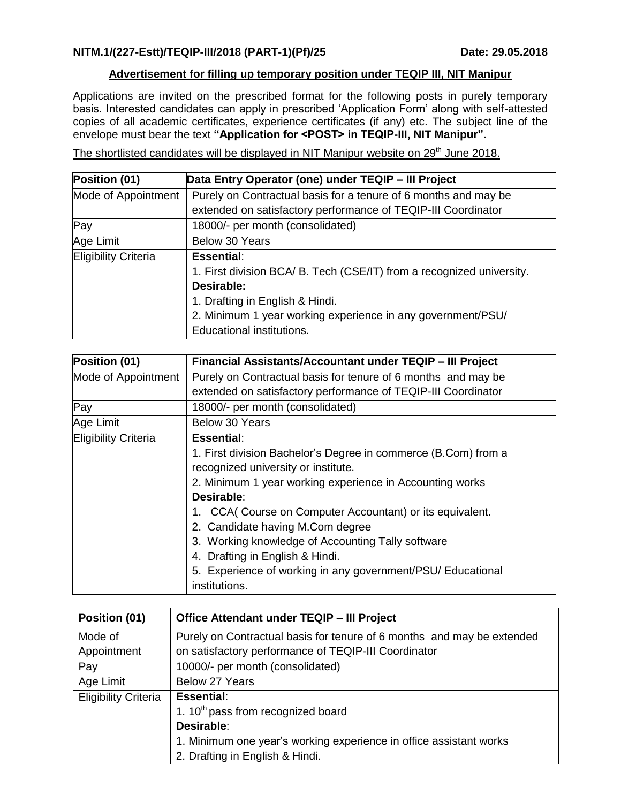## **Advertisement for filling up temporary position under TEQIP III, NIT Manipur**

Applications are invited on the prescribed format for the following posts in purely temporary basis. Interested candidates can apply in prescribed 'Application Form' along with self-attested copies of all academic certificates, experience certificates (if any) etc. The subject line of the envelope must bear the text **"Application for <POST> in TEQIP-III, NIT Manipur".**

The shortlisted candidates will be displayed in NIT Manipur website on 29<sup>th</sup> June 2018.

| Position (01)               | Data Entry Operator (one) under TEQIP - III Project                   |
|-----------------------------|-----------------------------------------------------------------------|
| Mode of Appointment         | Purely on Contractual basis for a tenure of 6 months and may be       |
|                             | extended on satisfactory performance of TEQIP-III Coordinator         |
| Pay                         | 18000/- per month (consolidated)                                      |
| Age Limit                   | Below 30 Years                                                        |
| <b>Eligibility Criteria</b> | <b>Essential:</b>                                                     |
|                             | 1. First division BCA/ B. Tech (CSE/IT) from a recognized university. |
|                             | Desirable:                                                            |
|                             | 1. Drafting in English & Hindi.                                       |
|                             | 2. Minimum 1 year working experience in any government/PSU/           |
|                             | Educational institutions.                                             |

| Position (01)               | Financial Assistants/Accountant under TEQIP - III Project      |
|-----------------------------|----------------------------------------------------------------|
| Mode of Appointment         | Purely on Contractual basis for tenure of 6 months and may be  |
|                             | extended on satisfactory performance of TEQIP-III Coordinator  |
| Pay                         | 18000/- per month (consolidated)                               |
| Age Limit                   | Below 30 Years                                                 |
| <b>Eligibility Criteria</b> | <b>Essential:</b>                                              |
|                             | 1. First division Bachelor's Degree in commerce (B.Com) from a |
|                             | recognized university or institute.                            |
|                             | 2. Minimum 1 year working experience in Accounting works       |
|                             | Desirable:                                                     |
|                             | 1. CCA( Course on Computer Accountant) or its equivalent.      |
|                             | 2. Candidate having M.Com degree                               |
|                             | 3. Working knowledge of Accounting Tally software              |
|                             | 4. Drafting in English & Hindi.                                |
|                             | 5. Experience of working in any government/PSU/ Educational    |
|                             | institutions.                                                  |

| Position (01)               | Office Attendant under TEQIP - III Project                             |
|-----------------------------|------------------------------------------------------------------------|
| Mode of                     | Purely on Contractual basis for tenure of 6 months and may be extended |
| Appointment                 | on satisfactory performance of TEQIP-III Coordinator                   |
| Pay                         | 10000/- per month (consolidated)                                       |
| Age Limit                   | Below 27 Years                                                         |
| <b>Eligibility Criteria</b> | <b>Essential:</b>                                                      |
|                             | 1. 10 <sup>th</sup> pass from recognized board                         |
|                             | Desirable:                                                             |
|                             | 1. Minimum one year's working experience in office assistant works     |
|                             | 2. Drafting in English & Hindi.                                        |